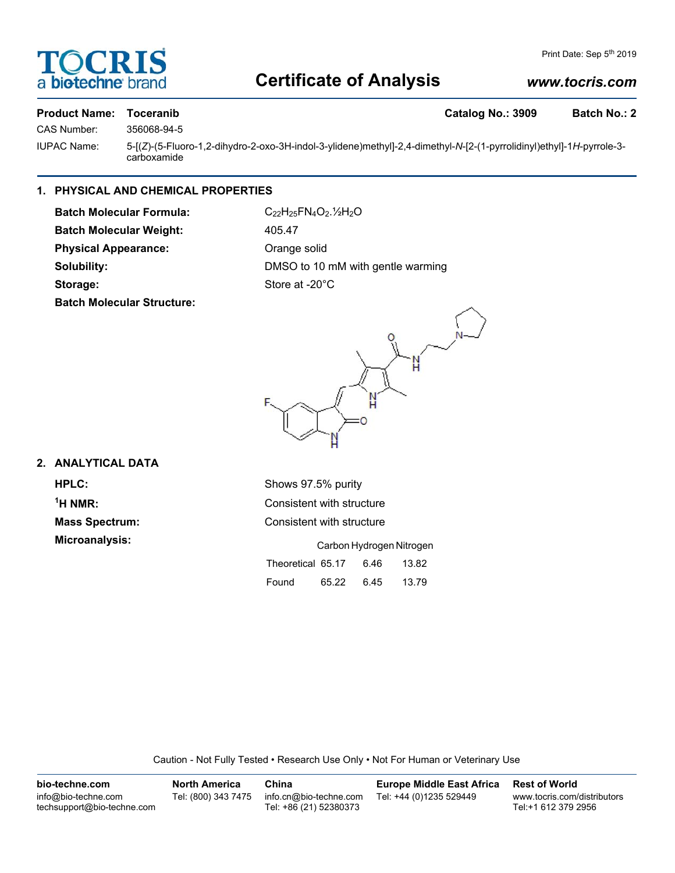# **DCRI biotechne**

## **Certificate of Analysis**

## *www.tocris.com*

# CAS Number: 356068-94-5

## **Product Name: Toceranib Catalog No.: 3909 Batch No.: 2**

IUPAC Name: 5-[(*Z*)-(5-Fluoro-1,2-dihydro-2-oxo-3H-indol-3-ylidene)methyl]-2,4-dimethyl-*N*-[2-(1-pyrrolidinyl)ethyl]-1*H*-pyrrole-3 carboxamide

## **1. PHYSICAL AND CHEMICAL PROPERTIES**

**Batch Molecular Formula:** C<sub>22</sub>H<sub>25</sub>FN<sub>4</sub>O<sub>2</sub>.<sup>1</sup>/<sub>2</sub>O Batch Molecular Weight: 405.47 Physical Appearance: **Orange solid** Storage: Store at -20°C **Batch Molecular Structure:**

**Solubility:** DMSO to 10 mM with gentle warming



## **2. ANALYTICAL DATA**

**HPLC:** Shows 97.5% purity  $<sup>1</sup>H NMR$ :</sup> **Microanalysis:** 

**Consistent with structure Mass Spectrum:** Consistent with structure

|                   | Carbon Hydrogen Nitrogen |      |       |
|-------------------|--------------------------|------|-------|
| Theoretical 65.17 |                          | 6.46 | 13.82 |
| Found             | 65.22                    | 6.45 | 13.79 |

Caution - Not Fully Tested • Research Use Only • Not For Human or Veterinary Use

| bio-techne.com                                    | North America       | China                                            | <b>Europe Middle East Africa</b> | <b>Rest of World</b>                               |
|---------------------------------------------------|---------------------|--------------------------------------------------|----------------------------------|----------------------------------------------------|
| info@bio-techne.com<br>techsupport@bio-techne.com | Tel: (800) 343 7475 | info.cn@bio-techne.com<br>Tel: +86 (21) 52380373 | Tel: +44 (0)1235 529449          | www.tocris.com/distributors<br>Tel:+1 612 379 2956 |